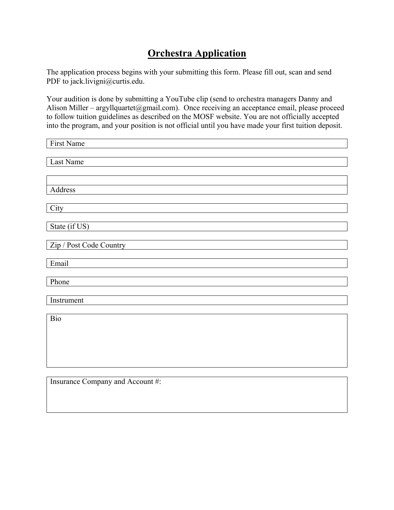## **Orchestra Application**

The application process begins with your submitting this form. Please fill out, scan and send PDF to jack.livigni@curtis.edu.

Your audition is done by submitting a YouTube clip (send to orchestra managers Danny and Alison Miller – argyllquartet@gmail.com). Once receiving an acceptance email, please proceed to follow tuition guidelines as described on the MOSF website. You are not officially accepted into the program, and your position is not official until you have made your first tuition deposit.

| First Name              |
|-------------------------|
|                         |
| Last Name               |
|                         |
|                         |
| Address                 |
|                         |
| City                    |
|                         |
| State (if US)           |
|                         |
| Zip / Post Code Country |
|                         |
| Email                   |
|                         |
| Phone                   |
|                         |
| Instrument              |
|                         |
| Bio                     |
|                         |
|                         |
|                         |

Insurance Company and Account #: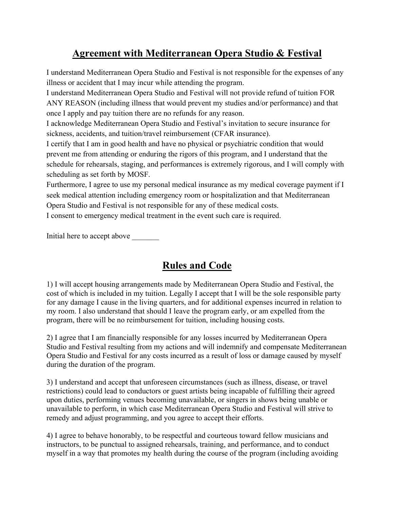## **Agreement with Mediterranean Opera Studio & Festival**

I understand Mediterranean Opera Studio and Festival is not responsible for the expenses of any illness or accident that I may incur while attending the program.

I understand Mediterranean Opera Studio and Festival will not provide refund of tuition FOR ANY REASON (including illness that would prevent my studies and/or performance) and that once I apply and pay tuition there are no refunds for any reason.

I acknowledge Mediterranean Opera Studio and Festival's invitation to secure insurance for sickness, accidents, and tuition/travel reimbursement (CFAR insurance).

I certify that I am in good health and have no physical or psychiatric condition that would prevent me from attending or enduring the rigors of this program, and I understand that the schedule for rehearsals, staging, and performances is extremely rigorous, and I will comply with scheduling as set forth by MOSF.

Furthermore, I agree to use my personal medical insurance as my medical coverage payment if I seek medical attention including emergency room or hospitalization and that Mediterranean Opera Studio and Festival is not responsible for any of these medical costs.

I consent to emergency medical treatment in the event such care is required.

Initial here to accept above \_\_\_\_\_\_\_

## **Rules and Code**

1) I will accept housing arrangements made by Mediterranean Opera Studio and Festival, the cost of which is included in my tuition. Legally I accept that I will be the sole responsible party for any damage I cause in the living quarters, and for additional expenses incurred in relation to my room. I also understand that should I leave the program early, or am expelled from the program, there will be no reimbursement for tuition, including housing costs.

2) I agree that I am financially responsible for any losses incurred by Mediterranean Opera Studio and Festival resulting from my actions and will indemnify and compensate Mediterranean Opera Studio and Festival for any costs incurred as a result of loss or damage caused by myself during the duration of the program.

3) I understand and accept that unforeseen circumstances (such as illness, disease, or travel restrictions) could lead to conductors or guest artists being incapable of fulfilling their agreed upon duties, performing venues becoming unavailable, or singers in shows being unable or unavailable to perform, in which case Mediterranean Opera Studio and Festival will strive to remedy and adjust programming, and you agree to accept their efforts.

4) I agree to behave honorably, to be respectful and courteous toward fellow musicians and instructors, to be punctual to assigned rehearsals, training, and performance, and to conduct myself in a way that promotes my health during the course of the program (including avoiding